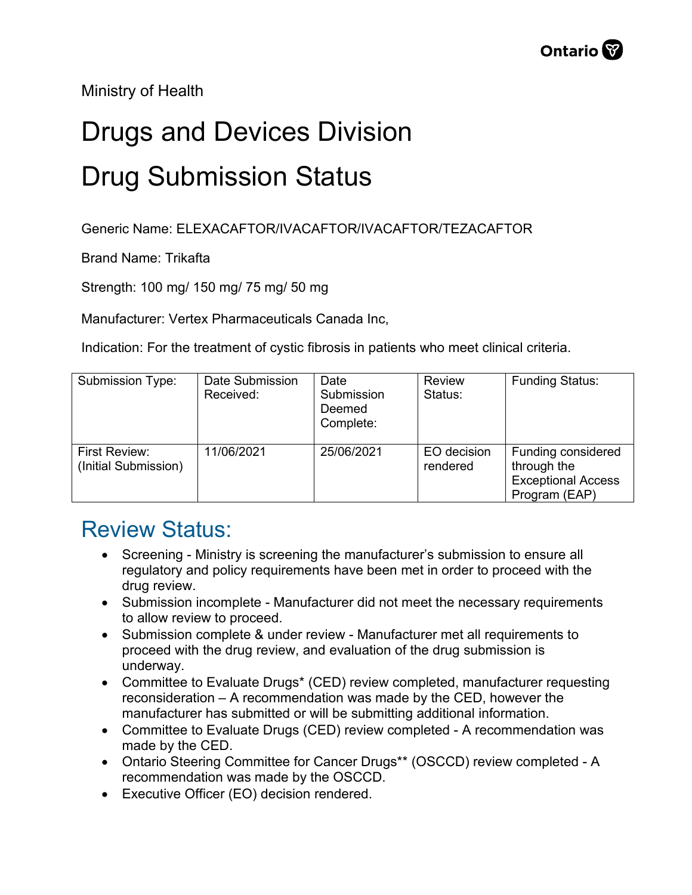Ministry of Health

## Drugs and Devices Division Drug Submission Status

Generic Name: ELEXACAFTOR/IVACAFTOR/IVACAFTOR/TEZACAFTOR

Brand Name: Trikafta

Strength: 100 mg/ 150 mg/ 75 mg/ 50 mg

Manufacturer: Vertex Pharmaceuticals Canada Inc,

Indication: For the treatment of cystic fibrosis in patients who meet clinical criteria.

| Submission Type:                      | Date Submission<br>Received: | Date<br>Submission<br>Deemed<br>Complete: | Review<br>Status:       | <b>Funding Status:</b>                                                          |
|---------------------------------------|------------------------------|-------------------------------------------|-------------------------|---------------------------------------------------------------------------------|
| First Review:<br>(Initial Submission) | 11/06/2021                   | 25/06/2021                                | EO decision<br>rendered | Funding considered<br>through the<br><b>Exceptional Access</b><br>Program (EAP) |

## Review Status:

- Screening Ministry is screening the manufacturer's submission to ensure all regulatory and policy requirements have been met in order to proceed with the drug review.
- Submission incomplete Manufacturer did not meet the necessary requirements to allow review to proceed.
- Submission complete & under review Manufacturer met all requirements to proceed with the drug review, and evaluation of the drug submission is underway.
- Committee to Evaluate Drugs\* (CED) review completed, manufacturer requesting reconsideration – A recommendation was made by the CED, however the manufacturer has submitted or will be submitting additional information.
- Committee to Evaluate Drugs (CED) review completed A recommendation was made by the CED.
- Ontario Steering Committee for Cancer Drugs\*\* (OSCCD) review completed A recommendation was made by the OSCCD.
- Executive Officer (EO) decision rendered.